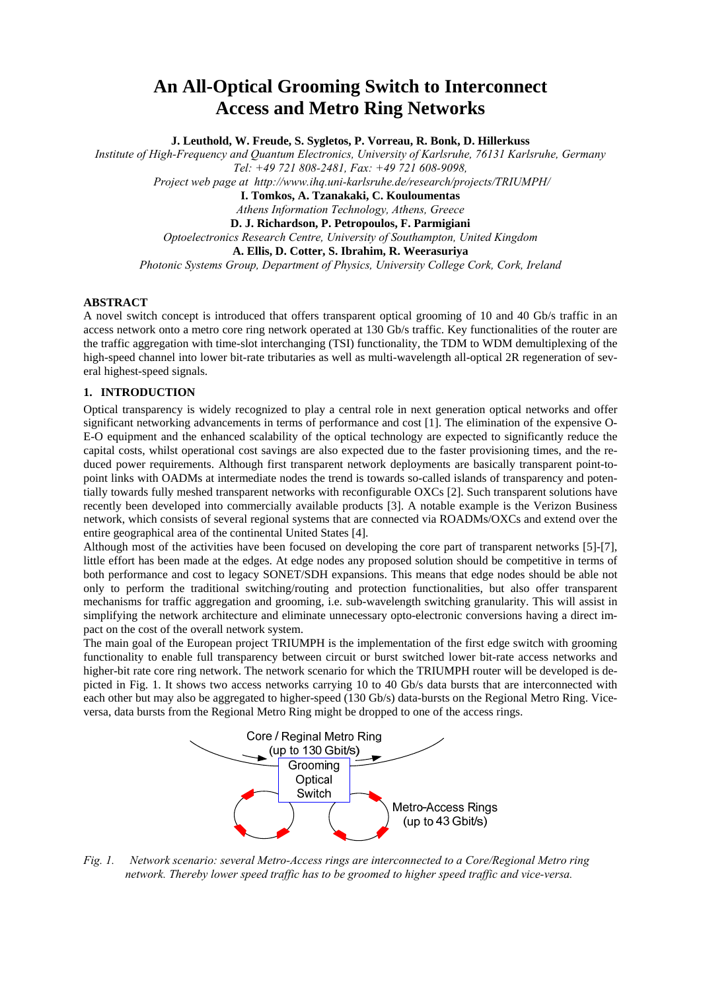# **An All-Optical Grooming Switch to Interconnect Access and Metro Ring Networks**

**J. Leuthold, W. Freude, S. Sygletos, P. Vorreau, R. Bonk, D. Hillerkuss** 

*Institute of High-Frequency and Quantum Electronics, University of Karlsruhe, 76131 Karlsruhe, Germany Tel: +49 721 808-2481, Fax: +49 721 608-9098,* 

 *Project web page at http://www.ihq.uni-karlsruhe.de/research/projects/TRIUMPH/* 

**I. Tomkos, A. Tzanakaki, C. Kouloumentas**

*Athens Information Technology, Athens, Greece* 

**D. J. Richardson, P. Petropoulos, F. Parmigiani**

*Optoelectronics Research Centre, University of Southampton, United Kingdom* 

**A. Ellis, D. Cotter, S. Ibrahim, R. Weerasuriya** 

*Photonic Systems Group, Department of Physics, University College Cork, Cork, Ireland* 

## **ABSTRACT**

A novel switch concept is introduced that offers transparent optical grooming of 10 and 40 Gb/s traffic in an access network onto a metro core ring network operated at 130 Gb/s traffic. Key functionalities of the router are the traffic aggregation with time-slot interchanging (TSI) functionality, the TDM to WDM demultiplexing of the high-speed channel into lower bit-rate tributaries as well as multi-wavelength all-optical 2R regeneration of several highest-speed signals.

## **1. INTRODUCTION**

Optical transparency is widely recognized to play a central role in next generation optical networks and offer significant networking advancements in terms of performance and cost [1]. The elimination of the expensive O-E-O equipment and the enhanced scalability of the optical technology are expected to significantly reduce the capital costs, whilst operational cost savings are also expected due to the faster provisioning times, and the reduced power requirements. Although first transparent network deployments are basically transparent point-topoint links with OADMs at intermediate nodes the trend is towards so-called islands of transparency and potentially towards fully meshed transparent networks with reconfigurable OXCs [2]. Such transparent solutions have recently been developed into commercially available products [3]. A notable example is the Verizon Business network, which consists of several regional systems that are connected via ROADMs/OXCs and extend over the entire geographical area of the continental United States [4].

Although most of the activities have been focused on developing the core part of transparent networks [5]-[7], little effort has been made at the edges. At edge nodes any proposed solution should be competitive in terms of both performance and cost to legacy SONET/SDH expansions. This means that edge nodes should be able not only to perform the traditional switching/routing and protection functionalities, but also offer transparent mechanisms for traffic aggregation and grooming, i.e. sub-wavelength switching granularity. This will assist in simplifying the network architecture and eliminate unnecessary opto-electronic conversions having a direct impact on the cost of the overall network system.

The main goal of the European project TRIUMPH is the implementation of the first edge switch with grooming functionality to enable full transparency between circuit or burst switched lower bit-rate access networks and higher-bit rate core ring network. The network scenario for which the TRIUMPH router will be developed is depicted in Fig. 1. It shows two access networks carrying 10 to 40 Gb/s data bursts that are interconnected with each other but may also be aggregated to higher-speed (130 Gb/s) data-bursts on the Regional Metro Ring. Viceversa, data bursts from the Regional Metro Ring might be dropped to one of the access rings.



*Fig. 1. Network scenario: several Metro-Access rings are interconnected to a Core/Regional Metro ring network. Thereby lower speed traffic has to be groomed to higher speed traffic and vice-versa.*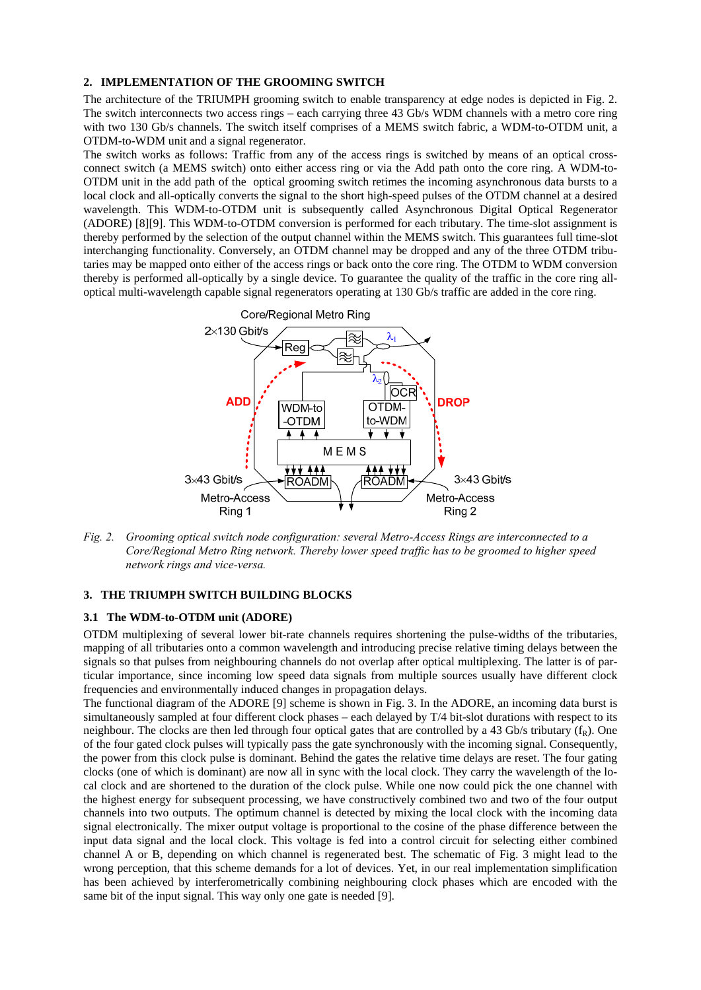### **2. IMPLEMENTATION OF THE GROOMING SWITCH**

The architecture of the TRIUMPH grooming switch to enable transparency at edge nodes is depicted in Fig. 2. The switch interconnects two access rings – each carrying three 43 Gb/s WDM channels with a metro core ring with two 130 Gb/s channels. The switch itself comprises of a MEMS switch fabric, a WDM-to-OTDM unit, a OTDM-to-WDM unit and a signal regenerator.

The switch works as follows: Traffic from any of the access rings is switched by means of an optical crossconnect switch (a MEMS switch) onto either access ring or via the Add path onto the core ring. A WDM-to-OTDM unit in the add path of the optical grooming switch retimes the incoming asynchronous data bursts to a local clock and all-optically converts the signal to the short high-speed pulses of the OTDM channel at a desired wavelength. This WDM-to-OTDM unit is subsequently called Asynchronous Digital Optical Regenerator (ADORE) [8][9]. This WDM-to-OTDM conversion is performed for each tributary. The time-slot assignment is thereby performed by the selection of the output channel within the MEMS switch. This guarantees full time-slot interchanging functionality. Conversely, an OTDM channel may be dropped and any of the three OTDM tributaries may be mapped onto either of the access rings or back onto the core ring. The OTDM to WDM conversion thereby is performed all-optically by a single device. To guarantee the quality of the traffic in the core ring alloptical multi-wavelength capable signal regenerators operating at 130 Gb/s traffic are added in the core ring.



*Fig. 2. Grooming optical switch node configuration: several Metro-Access Rings are interconnected to a Core/Regional Metro Ring network. Thereby lower speed traffic has to be groomed to higher speed network rings and vice-versa.* 

# **3. THE TRIUMPH SWITCH BUILDING BLOCKS**

## **3.1 The WDM-to-OTDM unit (ADORE)**

OTDM multiplexing of several lower bit-rate channels requires shortening the pulse-widths of the tributaries, mapping of all tributaries onto a common wavelength and introducing precise relative timing delays between the signals so that pulses from neighbouring channels do not overlap after optical multiplexing. The latter is of particular importance, since incoming low speed data signals from multiple sources usually have different clock frequencies and environmentally induced changes in propagation delays.

The functional diagram of the ADORE [9] scheme is shown in Fig. 3. In the ADORE, an incoming data burst is simultaneously sampled at four different clock phases – each delayed by T/4 bit-slot durations with respect to its neighbour. The clocks are then led through four optical gates that are controlled by a 43 Gb/s tributary  $(f_R)$ . One of the four gated clock pulses will typically pass the gate synchronously with the incoming signal. Consequently, the power from this clock pulse is dominant. Behind the gates the relative time delays are reset. The four gating clocks (one of which is dominant) are now all in sync with the local clock. They carry the wavelength of the local clock and are shortened to the duration of the clock pulse. While one now could pick the one channel with the highest energy for subsequent processing, we have constructively combined two and two of the four output channels into two outputs. The optimum channel is detected by mixing the local clock with the incoming data signal electronically. The mixer output voltage is proportional to the cosine of the phase difference between the input data signal and the local clock. This voltage is fed into a control circuit for selecting either combined channel A or B, depending on which channel is regenerated best. The schematic of Fig. 3 might lead to the wrong perception, that this scheme demands for a lot of devices. Yet, in our real implementation simplification has been achieved by interferometrically combining neighbouring clock phases which are encoded with the same bit of the input signal. This way only one gate is needed [9].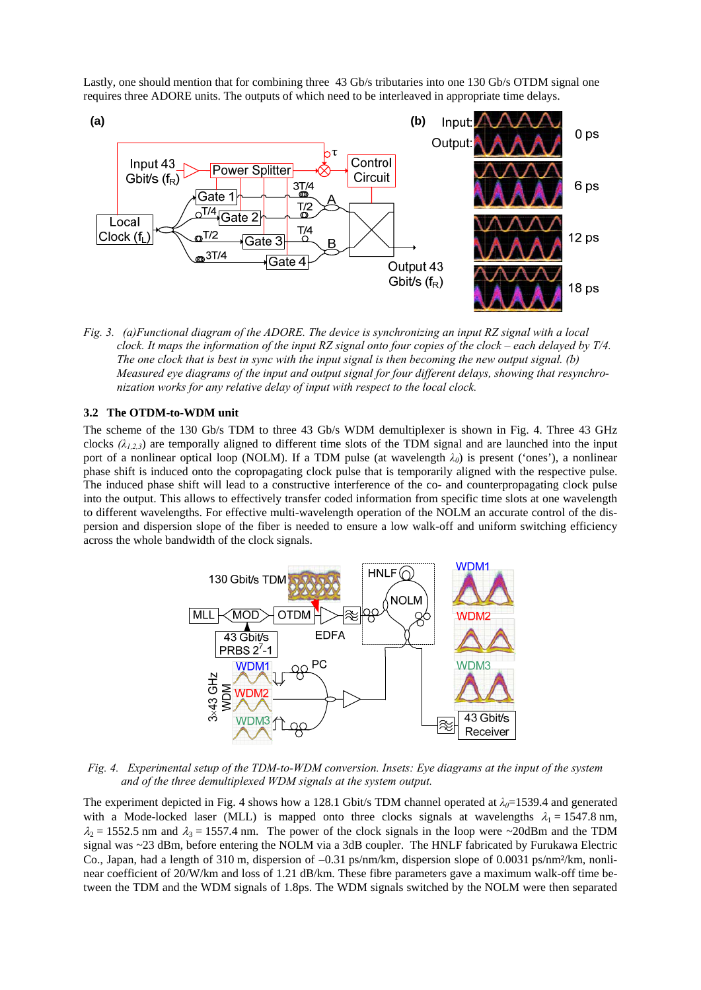Lastly, one should mention that for combining three 43 Gb/s tributaries into one 130 Gb/s OTDM signal one requires three ADORE units. The outputs of which need to be interleaved in appropriate time delays.



*Fig. 3. (a) Functional diagram of the ADORE. The device is synchronizing an input RZ signal with a local clock. It maps the information of the input RZ signal onto four copies of the clock – each delayed by T/4. The one clock that is best in sync with the input signal is then becoming the new output signal. (b) Measured eye diagrams of the input and output signal for four different delays, showing that resynchronization works for any relative delay of input with respect to the local clock.* 

#### **3.2 The OTDM-to-WDM unit**

The scheme of the 130 Gb/s TDM to three 43 Gb/s WDM demultiplexer is shown in Fig. 4. Three 43 GHz clocks  $(\lambda_{1,2,3})$  are temporally aligned to different time slots of the TDM signal and are launched into the input port of a nonlinear optical loop (NOLM). If a TDM pulse (at wavelength  $\lambda_0$ ) is present ('ones'), a nonlinear phase shift is induced onto the copropagating clock pulse that is temporarily aligned with the respective pulse. The induced phase shift will lead to a constructive interference of the co- and counterpropagating clock pulse into the output. This allows to effectively transfer coded information from specific time slots at one wavelength to different wavelengths. For effective multi-wavelength operation of the NOLM an accurate control of the dispersion and dispersion slope of the fiber is needed to ensure a low walk-off and uniform switching efficiency across the whole bandwidth of the clock signals.



*Fig. 4. Experimental setup of the TDM-to-WDM conversion. Insets: Eye diagrams at the input of the system and of the three demultiplexed WDM signals at the system output.* 

The experiment depicted in Fig. 4 shows how a 128.1 Gbit/s TDM channel operated at  $\lambda_0$ =1539.4 and generated with a Mode-locked laser (MLL) is mapped onto three clocks signals at wavelengths  $\lambda_1 = 1547.8$  nm,  $\lambda_2 = 1552.5$  nm and  $\lambda_3 = 1557.4$  nm. The power of the clock signals in the loop were ~20dBm and the TDM signal was ~23 dBm, before entering the NOLM via a 3dB coupler. The HNLF fabricated by Furukawa Electric Co., Japan, had a length of 310 m, dispersion of −0.31 ps/nm/km, dispersion slope of 0.0031 ps/nm²/km, nonlinear coefficient of 20/W/km and loss of 1.21 dB/km. These fibre parameters gave a maximum walk-off time between the TDM and the WDM signals of 1.8ps. The WDM signals switched by the NOLM were then separated